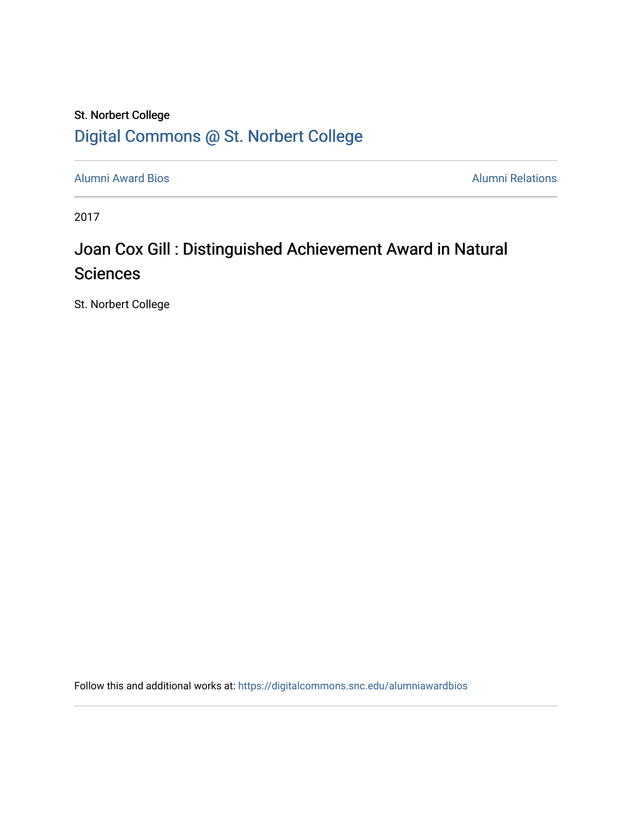### St. Norbert College [Digital Commons @ St. Norbert College](https://digitalcommons.snc.edu/)

[Alumni Award Bios](https://digitalcommons.snc.edu/alumniawardbios) **Alumni Relations** Alumni Relations

2017

## Joan Cox Gill : Distinguished Achievement Award in Natural **Sciences**

St. Norbert College

Follow this and additional works at: [https://digitalcommons.snc.edu/alumniawardbios](https://digitalcommons.snc.edu/alumniawardbios?utm_source=digitalcommons.snc.edu%2Falumniawardbios%2F74&utm_medium=PDF&utm_campaign=PDFCoverPages)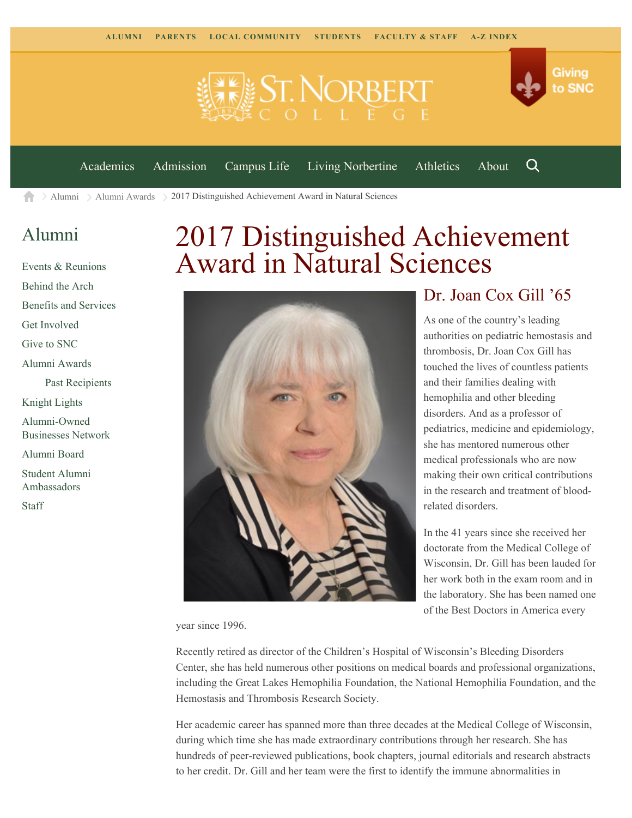



Q

[Academics](https://www.snc.edu/academics) [Admission](https://www.snc.edu/admission) [Campus Life](https://www.snc.edu/campuslife) [Living Norbertine](https://www.snc.edu/livingnorbertine) [Athletics](https://www.snc.edu/athletics) [About](https://www.snc.edu/about)

 $\geq$  [Alumni](https://www.snc.edu/alumni/)  $\geq$  [Alumni Awards](https://www.snc.edu/alumni/awards/)  $\geq$  2017 Distinguished Achievement Award in Natural Sciences A

#### [Alumni](https://www.snc.edu/alumni/index.html)

[Events & Reunions](https://www.snc.edu/alumni/event/index.html) [Behind the Arch](https://www.snc.edu/alumni/event/behindthearch/) [Benefits and Services](https://www.snc.edu/alumni/benefits.html) [Get Involved](https://www.snc.edu/alumni/getinvolved.html) [Give to SNC](http://giving.snc.edu/) [Alumni Awards](https://www.snc.edu/alumni/awards/index.html) [Past Recipients](https://www.snc.edu/alumni/awards/recipients.html) [Knight Lights](https://www.snc.edu/alumni/knightlights/index.html) [Alumni-Owned](https://www.snc.edu/alumni/directory/index.html) [Businesses Network](https://www.snc.edu/alumni/directory/index.html) [Alumni Board](https://www.snc.edu/alumni/alumniboard.html) [Student Alumni](https://www.snc.edu/alumni/saa.html) [Ambassadors](https://www.snc.edu/alumni/saa.html) [Staff](https://www.snc.edu/alumni/contactus.html)

# 2017 Distinguished Achievement Award in Natural Sciences



#### Dr. Joan Cox Gill '65

As one of the country's leading authorities on pediatric hemostasis and thrombosis, Dr. Joan Cox Gill has touched the lives of countless patients and their families dealing with hemophilia and other bleeding disorders. And as a professor of pediatrics, medicine and epidemiology, she has mentored numerous other medical professionals who are now making their own critical contributions in the research and treatment of bloodrelated disorders.

In the 41 years since she received her doctorate from the Medical College of Wisconsin, Dr. Gill has been lauded for her work both in the exam room and in the laboratory. She has been named one of the Best Doctors in America every

year since 1996.

Recently retired as director of the Children's Hospital of Wisconsin's Bleeding Disorders Center, she has held numerous other positions on medical boards and professional organizations, including the Great Lakes Hemophilia Foundation, the National Hemophilia Foundation, and the Hemostasis and Thrombosis Research Society.

Her academic career has spanned more than three decades at the Medical College of Wisconsin, during which time she has made extraordinary contributions through her research. She has hundreds of peer-reviewed publications, book chapters, journal editorials and research abstracts to her credit. Dr. Gill and her team were the first to identify the immune abnormalities in